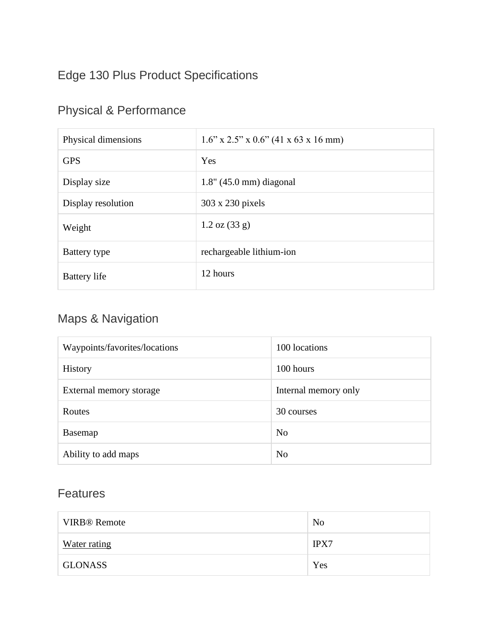## Edge 130 Plus Product Specifications

## Physical & Performance

| Physical dimensions | $1.6$ " x $2.5$ " x $0.6$ " (41 x 63 x 16 mm) |
|---------------------|-----------------------------------------------|
| <b>GPS</b>          | Yes                                           |
| Display size        | $1.8$ " (45.0 mm) diagonal                    |
| Display resolution  | 303 x 230 pixels                              |
| Weight              | $1.2 \text{ oz } (33 \text{ g})$              |
| Battery type        | rechargeable lithium-ion                      |
| <b>Battery</b> life | 12 hours                                      |

## Maps & Navigation

| Waypoints/favorites/locations | 100 locations        |
|-------------------------------|----------------------|
| <b>History</b>                | 100 hours            |
| External memory storage       | Internal memory only |
| Routes                        | 30 courses           |
| Basemap                       | N <sub>0</sub>       |
| Ability to add maps           | No                   |

## Features

| <b>VIRB®</b> Remote | N <sub>0</sub> |
|---------------------|----------------|
| Water rating        | <b>IPX7</b>    |
| <b>GLONASS</b>      | Yes            |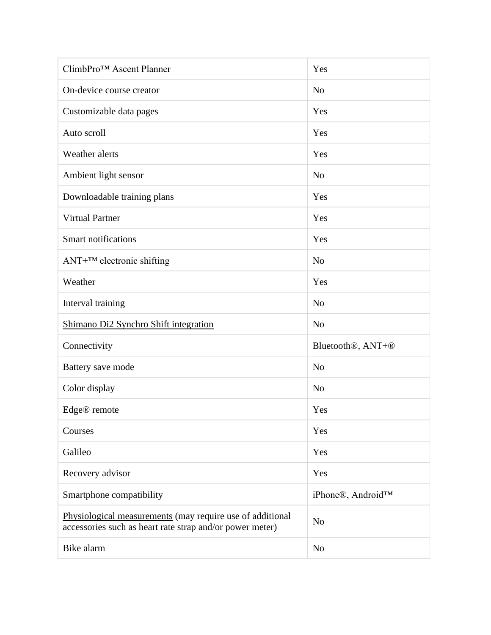| ClimbPro™ Ascent Planner                                                                                              | Yes                                        |
|-----------------------------------------------------------------------------------------------------------------------|--------------------------------------------|
| On-device course creator                                                                                              | N <sub>o</sub>                             |
| Customizable data pages                                                                                               | Yes                                        |
| Auto scroll                                                                                                           | Yes                                        |
| Weather alerts                                                                                                        | Yes                                        |
| Ambient light sensor                                                                                                  | N <sub>o</sub>                             |
| Downloadable training plans                                                                                           | Yes                                        |
| <b>Virtual Partner</b>                                                                                                | Yes                                        |
| <b>Smart notifications</b>                                                                                            | Yes                                        |
| $ANT+^{TM}$ electronic shifting                                                                                       | N <sub>o</sub>                             |
| Weather                                                                                                               | Yes                                        |
| Interval training                                                                                                     | N <sub>o</sub>                             |
| Shimano Di2 Synchro Shift integration                                                                                 | N <sub>o</sub>                             |
| Connectivity                                                                                                          | Bluetooth <sup>®</sup> , ANT+ <sup>®</sup> |
| Battery save mode                                                                                                     | N <sub>o</sub>                             |
| Color display                                                                                                         | N <sub>o</sub>                             |
| Edge® remote                                                                                                          | Yes                                        |
| Courses                                                                                                               | Yes                                        |
| Galileo                                                                                                               | Yes                                        |
| Recovery advisor                                                                                                      | Yes                                        |
| Smartphone compatibility                                                                                              | iPhone®, Android™                          |
| Physiological measurements (may require use of additional<br>accessories such as heart rate strap and/or power meter) | N <sub>o</sub>                             |
| Bike alarm                                                                                                            | N <sub>o</sub>                             |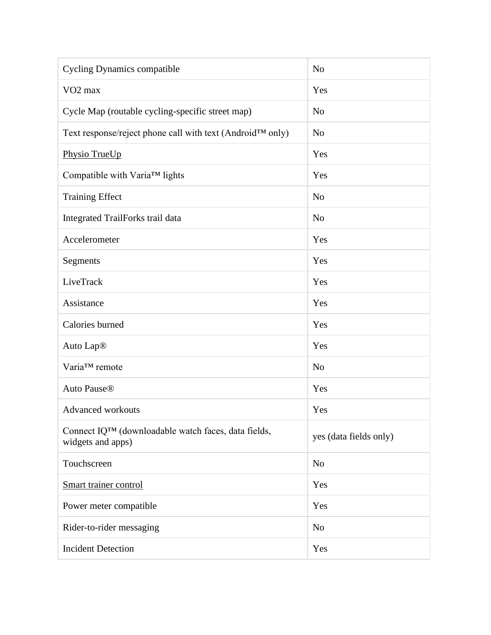| <b>Cycling Dynamics compatible</b>                                                    | N <sub>o</sub>         |
|---------------------------------------------------------------------------------------|------------------------|
| VO <sub>2</sub> max                                                                   | Yes                    |
| Cycle Map (routable cycling-specific street map)                                      | N <sub>o</sub>         |
| Text response/reject phone call with text (Android™ only)                             | N <sub>o</sub>         |
| Physio TrueUp                                                                         | Yes                    |
| Compatible with Varia™ lights                                                         | Yes                    |
| <b>Training Effect</b>                                                                | N <sub>o</sub>         |
| Integrated TrailForks trail data                                                      | N <sub>o</sub>         |
| Accelerometer                                                                         | Yes                    |
| Segments                                                                              | Yes                    |
| LiveTrack                                                                             | Yes                    |
| Assistance                                                                            | Yes                    |
| Calories burned                                                                       | Yes                    |
| Auto Lap <sup>®</sup>                                                                 | Yes                    |
| Varia™ remote                                                                         | N <sub>o</sub>         |
| Auto Pause <sup>®</sup>                                                               | Yes                    |
| <b>Advanced workouts</b>                                                              | Yes                    |
| Connect IQ <sup>TM</sup> (downloadable watch faces, data fields,<br>widgets and apps) | yes (data fields only) |
| Touchscreen                                                                           | N <sub>o</sub>         |
| Smart trainer control                                                                 | Yes                    |
| Power meter compatible                                                                | Yes                    |
| Rider-to-rider messaging                                                              | N <sub>o</sub>         |
| <b>Incident Detection</b>                                                             | Yes                    |